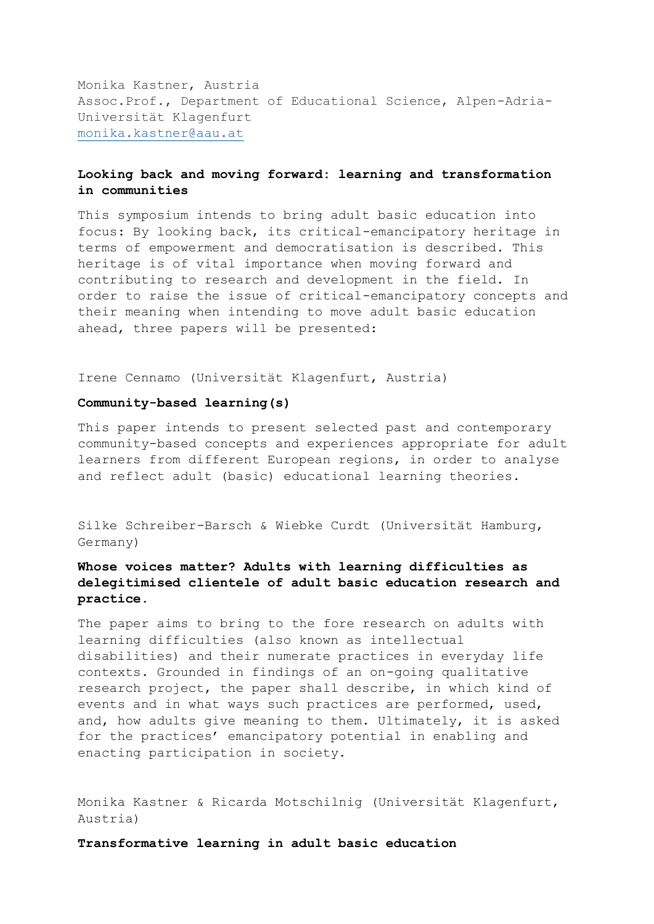Monika Kastner, Austria Assoc.Prof., Department of Educational Science, Alpen-Adria-Universität Klagenfurt [monika.kastner@aau.at](mailto:monika.kastner@aau.at)

## **Looking back and moving forward: learning and transformation in communities**

This symposium intends to bring adult basic education into focus: By looking back, its critical-emancipatory heritage in terms of empowerment and democratisation is described. This heritage is of vital importance when moving forward and contributing to research and development in the field. In order to raise the issue of critical-emancipatory concepts and their meaning when intending to move adult basic education ahead, three papers will be presented:

Irene Cennamo (Universität Klagenfurt, Austria)

## **Community-based learning(s)**

This paper intends to present selected past and contemporary community-based concepts and experiences appropriate for adult learners from different European regions, in order to analyse and reflect adult (basic) educational learning theories.

Silke Schreiber-Barsch & Wiebke Curdt (Universität Hamburg, Germany)

## **Whose voices matter? Adults with learning difficulties as delegitimised clientele of adult basic education research and practice.**

The paper aims to bring to the fore research on adults with learning difficulties (also known as intellectual disabilities) and their numerate practices in everyday life contexts. Grounded in findings of an on-going qualitative research project, the paper shall describe, in which kind of events and in what ways such practices are performed, used, and, how adults give meaning to them. Ultimately, it is asked for the practices' emancipatory potential in enabling and enacting participation in society.

Monika Kastner & Ricarda Motschilnig (Universität Klagenfurt, Austria)

**Transformative learning in adult basic education**